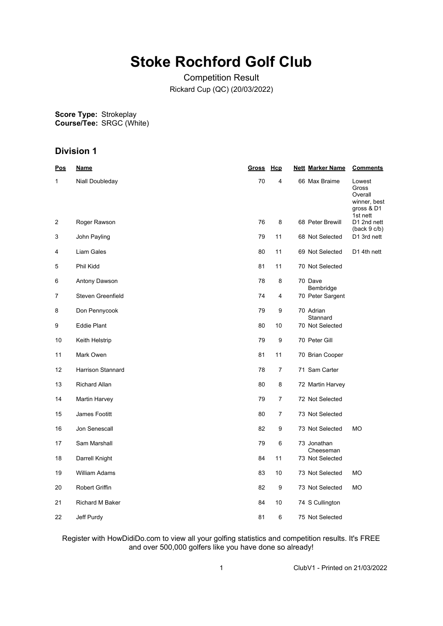# **Stoke Rochford Golf Club**

Competition Result Rickard Cup (QC) (20/03/2022)

**Score Type: Course/Tee:** Strokeplay SRGC (White)

# **Division 1**

| <u>Pos</u> | <b>Name</b>              | Gross Hcp |                | <b>Nett Marker Name</b>      | <b>Comments</b>                                                      |
|------------|--------------------------|-----------|----------------|------------------------------|----------------------------------------------------------------------|
| 1          | Niall Doubleday          | 70        | 4              | 66 Max Braime                | Lowest<br>Gross<br>Overall<br>winner, best<br>gross & D1<br>1st nett |
| 2          | Roger Rawson             | 76        | 8              | 68 Peter Brewill             | D1 2nd nett<br>(back 9 c/b)                                          |
| 3          | John Payling             | 79        | 11             | 68 Not Selected              | D1 3rd nett                                                          |
| 4          | Liam Gales               | 80        | 11             | 69 Not Selected              | D1 4th nett                                                          |
| 5          | Phil Kidd                | 81        | 11             | 70 Not Selected              |                                                                      |
| 6          | Antony Dawson            | 78        | 8              | 70 Dave<br>Bembridge         |                                                                      |
| 7          | Steven Greenfield        | 74        | 4              | 70 Peter Sargent             |                                                                      |
| 8          | Don Pennycook            | 79        | 9              | 70 Adrian<br>Stannard        |                                                                      |
| 9          | <b>Eddie Plant</b>       | 80        | 10             | 70 Not Selected              |                                                                      |
| 10         | Keith Helstrip           | 79        | 9              | 70 Peter Gill                |                                                                      |
| 11         | Mark Owen                | 81        | 11             | 70 Brian Cooper              |                                                                      |
| 12         | <b>Harrison Stannard</b> | 78        | $\overline{7}$ | 71 Sam Carter                |                                                                      |
| 13         | <b>Richard Allan</b>     | 80        | 8              | 72 Martin Harvey             |                                                                      |
| 14         | Martin Harvey            | 79        | $\overline{7}$ | 72 Not Selected              |                                                                      |
| 15         | James Footitt            | 80        | 7              | 73 Not Selected              |                                                                      |
| 16         | Jon Senescall            | 82        | 9              | 73 Not Selected              | <b>MO</b>                                                            |
| 17         | Sam Marshall             | 79        | 6              | 73 Jonathan                  |                                                                      |
| 18         | Darrell Knight           | 84        | 11             | Cheeseman<br>73 Not Selected |                                                                      |
| 19         | <b>William Adams</b>     | 83        | 10             | 73 Not Selected              | <b>MO</b>                                                            |
| 20         | Robert Griffin           | 82        | 9              | 73 Not Selected              | МO                                                                   |
| 21         | <b>Richard M Baker</b>   | 84        | 10             | 74 S Cullington              |                                                                      |
| 22         | Jeff Purdy               | 81        | 6              | 75 Not Selected              |                                                                      |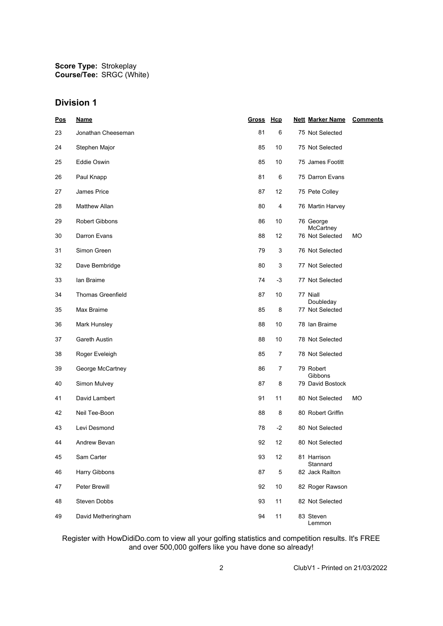**Score Type: Course/Tee:** Strokeplay SRGC (White)

### **Division 1**

| Pos | <b>Name</b>              | Gross Hcp |                         | <b>Nett Marker Name</b>      | <b>Comments</b> |
|-----|--------------------------|-----------|-------------------------|------------------------------|-----------------|
| 23  | Jonathan Cheeseman       | 81        | 6                       | 75 Not Selected              |                 |
| 24  | Stephen Major            | 85        | 10                      | 75 Not Selected              |                 |
| 25  | Eddie Oswin              | 85        | 10                      | 75 James Footitt             |                 |
| 26  | Paul Knapp               | 81        | 6                       | 75 Darron Evans              |                 |
| 27  | <b>James Price</b>       | 87        | 12                      | 75 Pete Colley               |                 |
| 28  | Matthew Allan            | 80        | $\overline{\mathbf{4}}$ | 76 Martin Harvey             |                 |
| 29  | <b>Robert Gibbons</b>    | 86        | 10                      | 76 George                    |                 |
| 30  | Darron Evans             | 88        | 12                      | McCartney<br>76 Not Selected | МO              |
| 31  | Simon Green              | 79        | 3                       | 76 Not Selected              |                 |
| 32  | Dave Bembridge           | 80        | 3                       | 77 Not Selected              |                 |
| 33  | lan Braime               | 74        | $-3$                    | 77 Not Selected              |                 |
| 34  | <b>Thomas Greenfield</b> | 87        | 10                      | 77 Niall                     |                 |
| 35  | Max Braime               | 85        | 8                       | Doubleday<br>77 Not Selected |                 |
| 36  | Mark Hunsley             | 88        | 10                      | 78 Ian Braime                |                 |
| 37  | Gareth Austin            | 88        | 10                      | 78 Not Selected              |                 |
| 38  | Roger Eveleigh           | 85        | 7                       | 78 Not Selected              |                 |
| 39  | George McCartney         | 86        | 7                       | 79 Robert<br>Gibbons         |                 |
| 40  | Simon Mulvey             | 87        | 8                       | 79 David Bostock             |                 |
| 41  | David Lambert            | 91        | 11                      | 80 Not Selected              | МO              |
| 42  | Neil Tee-Boon            | 88        | 8                       | 80 Robert Griffin            |                 |
| 43  | Levi Desmond             | 78        | $-2$                    | 80 Not Selected              |                 |
| 44  | Andrew Bevan             | 92        | 12                      | 80 Not Selected              |                 |
| 45  | Sam Carter               | 93        | 12                      | 81 Harrison<br>Stannard      |                 |
| 46  | Harry Gibbons            | 87        | 5                       | 82 Jack Railton              |                 |
| 47  | Peter Brewill            | 92        | 10                      | 82 Roger Rawson              |                 |
| 48  | Steven Dobbs             | 93        | 11                      | 82 Not Selected              |                 |
| 49  | David Metheringham       | 94        | 11                      | 83 Steven<br>Lemmon          |                 |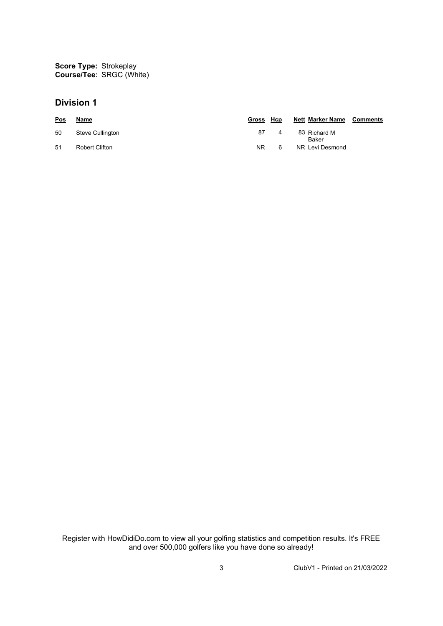**Score Type: Course/Tee:** Strokeplay SRGC (White)

### **Division 1**

| Pos | Name             | Gross Hcp |   | <b>Nett Marker Name Comments</b> |  |
|-----|------------------|-----------|---|----------------------------------|--|
| 50  | Steve Cullington | 87        | 4 | 83 Richard M<br>Baker            |  |
| 51  | Robert Clifton   | NR.       | 6 | NR Levi Desmond                  |  |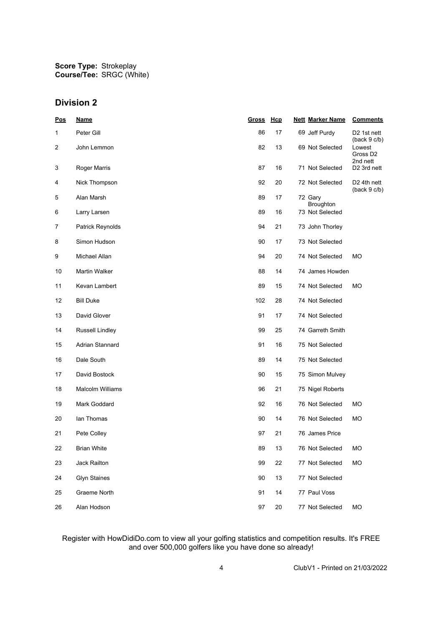# **Division 2**

| Pos            | <b>Name</b>             | <u>Gross</u> | Hcp | <b>Nett Marker Name</b> | <b>Comments</b>                            |
|----------------|-------------------------|--------------|-----|-------------------------|--------------------------------------------|
| 1              | Peter Gill              | 86           | 17  | 69 Jeff Purdy           | D <sub>2</sub> 1st nett<br>(back 9 c/b)    |
| $\overline{c}$ | John Lemmon             | 82           | 13  | 69 Not Selected         | Lowest<br>Gross D <sub>2</sub><br>2nd nett |
| 3              | Roger Marris            | 87           | 16  | 71 Not Selected         | D <sub>2</sub> 3rd nett                    |
| 4              | Nick Thompson           | 92           | 20  | 72 Not Selected         | D <sub>2</sub> 4th nett<br>(back 9 c/b)    |
| 5              | Alan Marsh              | 89           | 17  | 72 Gary<br>Broughton    |                                            |
| 6              | Larry Larsen            | 89           | 16  | 73 Not Selected         |                                            |
| 7              | Patrick Reynolds        | 94           | 21  | 73 John Thorley         |                                            |
| 8              | Simon Hudson            | 90           | 17  | 73 Not Selected         |                                            |
| 9              | Michael Allan           | 94           | 20  | 74 Not Selected         | МO                                         |
| 10             | Martin Walker           | 88           | 14  | 74 James Howden         |                                            |
| 11             | Kevan Lambert           | 89           | 15  | 74 Not Selected         | МO                                         |
| 12             | <b>Bill Duke</b>        | 102          | 28  | 74 Not Selected         |                                            |
| 13             | David Glover            | 91           | 17  | 74 Not Selected         |                                            |
| 14             | Russell Lindley         | 99           | 25  | 74 Garreth Smith        |                                            |
| 15             | Adrian Stannard         | 91           | 16  | 75 Not Selected         |                                            |
| 16             | Dale South              | 89           | 14  | 75 Not Selected         |                                            |
| 17             | David Bostock           | 90           | 15  | 75 Simon Mulvey         |                                            |
| 18             | <b>Malcolm Williams</b> | 96           | 21  | 75 Nigel Roberts        |                                            |
| 19             | Mark Goddard            | 92           | 16  | 76 Not Selected         | МO                                         |
| 20             | lan Thomas              | 90           | 14  | 76 Not Selected         | МO                                         |
| 21             | Pete Colley             | 97           | 21  | 76 James Price          |                                            |
| 22             | <b>Brian White</b>      | 89           | 13  | 76 Not Selected         | МO                                         |
| 23             | Jack Railton            | 99           | 22  | 77 Not Selected         | MO                                         |
| 24             | <b>Glyn Staines</b>     | 90           | 13  | 77 Not Selected         |                                            |
| 25             | Graeme North            | 91           | 14  | 77 Paul Voss            |                                            |
| 26             | Alan Hodson             | 97           | 20  | 77 Not Selected         | MO                                         |